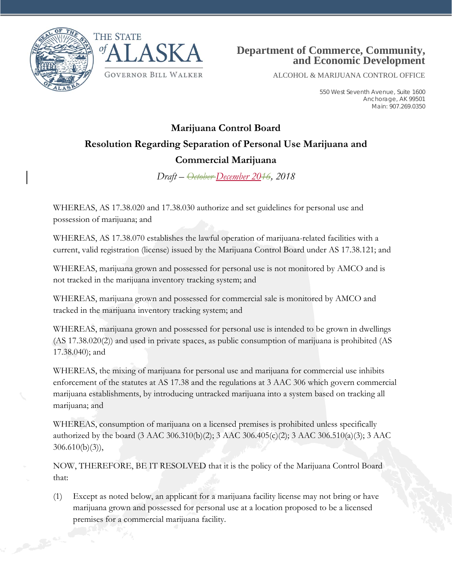



ALCOHOL & MARIJUANA CONTROL OFFICE

550 West Seventh Avenue, Suite 1600 Anchorage, AK 99501 Main: 907.269.0350

## **Marijuana Control Board Resolution Regarding Separation of Personal Use Marijuana and Commercial Marijuana**

*Draft – October December 2016, 2018*

WHEREAS, AS 17.38.020 and 17.38.030 authorize and set guidelines for personal use and possession of marijuana; and

WHEREAS, AS 17.38.070 establishes the lawful operation of marijuana-related facilities with a current, valid registration (license) issued by the Marijuana Control Board under AS 17.38.121; and

WHEREAS, marijuana grown and possessed for personal use is not monitored by AMCO and is not tracked in the marijuana inventory tracking system; and

WHEREAS, marijuana grown and possessed for commercial sale is monitored by AMCO and tracked in the marijuana inventory tracking system; and

WHEREAS, marijuana grown and possessed for personal use is intended to be grown in dwellings (AS 17.38.020(2)) and used in private spaces, as public consumption of marijuana is prohibited (AS 17.38.040); and

WHEREAS, the mixing of marijuana for personal use and marijuana for commercial use inhibits enforcement of the statutes at AS 17.38 and the regulations at 3 AAC 306 which govern commercial marijuana establishments, by introducing untracked marijuana into a system based on tracking all marijuana; and

WHEREAS, consumption of marijuana on a licensed premises is prohibited unless specifically authorized by the board (3 AAC 306.310(b)(2); 3 AAC 306.405(c)(2); 3 AAC 306.510(a)(3); 3 AAC 306.610(b)(3)),

NOW, THEREFORE, BE IT RESOLVED that it is the policy of the Marijuana Control Board that:

(1) Except as noted below, an applicant for a marijuana facility license may not bring or have marijuana grown and possessed for personal use at a location proposed to be a licensed premises for a commercial marijuana facility.